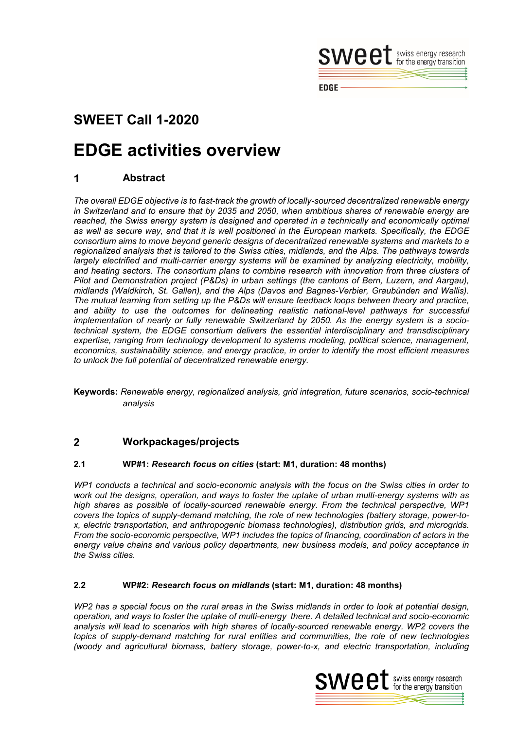

#### **EDGE**

## **SWEET Call 1-2020**

# **EDGE activities overview**

#### 1 **Abstract**

*The overall EDGE objective is to fast-track the growth of locally-sourced decentralized renewable energy in Switzerland and to ensure that by 2035 and 2050, when ambitious shares of renewable energy are*  reached, the Swiss energy system is designed and operated in a technically and economically optimal *as well as secure way, and that it is well positioned in the European markets. Specifically, the EDGE consortium aims to move beyond generic designs of decentralized renewable systems and markets to a regionalized analysis that is tailored to the Swiss cities, midlands, and the Alps. The pathways towards largely electrified and multi-carrier energy systems will be examined by analyzing electricity, mobility, and heating sectors. The consortium plans to combine research with innovation from three clusters of Pilot and Demonstration project (P&Ds) in urban settings (the cantons of Bern, Luzern, and Aargau), midlands (Waldkirch, St. Gallen), and the Alps (Davos and Bagnes-Verbier, Graubünden and Wallis). The mutual learning from setting up the P&Ds will ensure feedback loops between theory and practice, and ability to use the outcomes for delineating realistic national-level pathways for successful implementation of nearly or fully renewable Switzerland by 2050. As the energy system is a sociotechnical system, the EDGE consortium delivers the essential interdisciplinary and transdisciplinary expertise, ranging from technology development to systems modeling, political science, management, economics, sustainability science, and energy practice, in order to identify the most efficient measures to unlock the full potential of decentralized renewable energy.* 

**Keywords:** *Renewable energy, regionalized analysis, grid integration, future scenarios, socio-technical analysis*

#### $\overline{2}$ **Workpackages/projects**

#### **2.1 WP#1:** *Research focus on cities* **(start: M1, duration: 48 months)**

*WP1 conducts a technical and socio-economic analysis with the focus on the Swiss cities in order to work out the designs, operation, and ways to foster the uptake of urban multi-energy systems with as high shares as possible of locally-sourced renewable energy. From the technical perspective, WP1 covers the topics of supply-demand matching, the role of new technologies (battery storage, power-tox, electric transportation, and anthropogenic biomass technologies), distribution grids, and microgrids. From the socio-economic perspective, WP1 includes the topics of financing, coordination of actors in the energy value chains and various policy departments, new business models, and policy acceptance in the Swiss cities.*

#### **2.2 WP#2:** *Research focus on midlands* **(start: M1, duration: 48 months)**

*WP2 has a special focus on the rural areas in the Swiss midlands in order to look at potential design, operation, and ways to foster the uptake of multi-energy there. A detailed technical and socio-economic analysis will lead to scenarios with high shares of locally-sourced renewable energy. WP2 covers the topics of supply-demand matching for rural entities and communities, the role of new technologies (woody and agricultural biomass, battery storage, power-to-x, and electric transportation, including* 

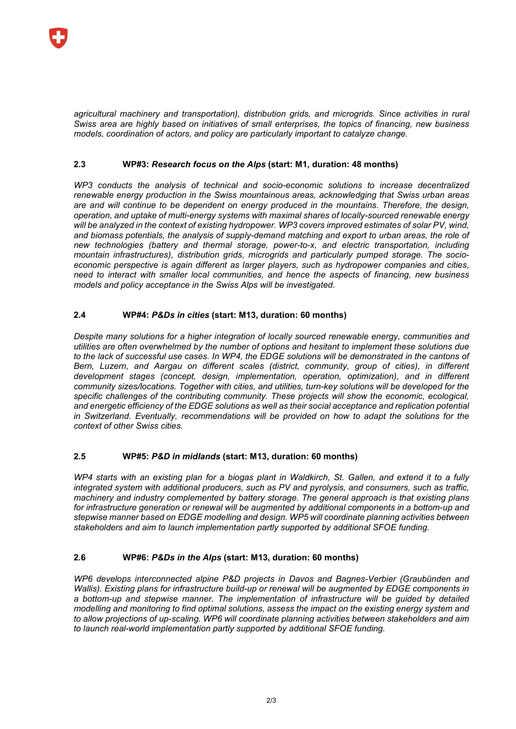*agricultural machinery and transportation), distribution grids, and microgrids. Since activities in rural Swiss area are highly based on initiatives of small enterprises, the topics of financing, new business models, coordination of actors, and policy are particularly important to catalyze change.*

## **2.3 WP#3:** *Research focus on the Alps* **(start: M1, duration: 48 months)**

*WP3 conducts the analysis of technical and socio-economic solutions to increase decentralized renewable energy production in the Swiss mountainous areas, acknowledging that Swiss urban areas are and will continue to be dependent on energy produced in the mountains. Therefore, the design, operation, and uptake of multi-energy systems with maximal shares of locally-sourced renewable energy will be analyzed in the context of existing hydropower. WP3 covers improved estimates of solar PV, wind, and biomass potentials, the analysis of supply-demand matching and export to urban areas, the role of new technologies (battery and thermal storage, power-to-x, and electric transportation, including mountain infrastructures), distribution grids, microgrids and particularly pumped storage. The socioeconomic perspective is again different as larger players, such as hydropower companies and cities, need to interact with smaller local communities, and hence the aspects of financing, new business models and policy acceptance in the Swiss Alps will be investigated.*

## **2.4 WP#4:** *P&Ds in cities* **(start: M13, duration: 60 months)**

*Despite many solutions for a higher integration of locally sourced renewable energy, communities and utilities are often overwhelmed by the number of options and hesitant to implement these solutions due to the lack of successful use cases. In WP4, the EDGE solutions will be demonstrated in the cantons of Bern, Luzern, and Aargau on different scales (district, community, group of cities), in different development stages (concept, design, implementation, operation, optimization), and in different community sizes/locations. Together with cities, and utilities, turn-key solutions will be developed for the specific challenges of the contributing community. These projects will show the economic, ecological, and energetic efficiency of the EDGE solutions as well as their social acceptance and replication potential*  in Switzerland. Eventually, recommendations will be provided on how to adapt the solutions for the *context of other Swiss cities.*

#### **2.5 WP#5:** *P&D in midlands* **(start: M13, duration: 60 months)**

*WP4 starts with an existing plan for a biogas plant in Waldkirch, St. Gallen, and extend it to a fully integrated system with additional producers, such as PV and pyrolysis, and consumers, such as traffic, machinery and industry complemented by battery storage. The general approach is that existing plans for infrastructure generation or renewal will be augmented by additional components in a bottom-up and stepwise manner based on EDGE modelling and design. WP5 will coordinate planning activities between stakeholders and aim to launch implementation partly supported by additional SFOE funding.*

#### **2.6 WP#6:** *P&Ds in the Alps* **(start: M13, duration: 60 months)**

*WP6 develops interconnected alpine P&D projects in Davos and Bagnes-Verbier (Graubünden and Wallis). Existing plans for infrastructure build-up or renewal will be augmented by EDGE components in*  a bottom-up and stepwise manner. The implementation of infrastructure will be guided by detailed *modelling and monitoring to find optimal solutions, assess the impact on the existing energy system and to allow projections of up-scaling. WP6 will coordinate planning activities between stakeholders and aim to launch real-world implementation partly supported by additional SFOE funding.*